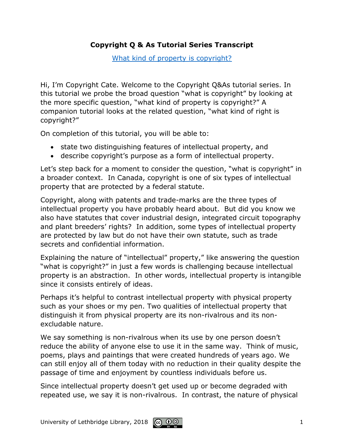## **Copyright Q & As Tutorial Series Transcript**

[What kind of property is copyright?](http://www.uleth.ca/lib/copyright/Copyright%20Q&A/What%20kind%20of%20property/index.html)

Hi, I'm Copyright Cate. Welcome to the Copyright Q&As tutorial series. In this tutorial we probe the broad question "what is copyright" by looking at the more specific question, "what kind of property is copyright?" A companion tutorial looks at the related question, "what kind of right is copyright?"

On completion of this tutorial, you will be able to:

- state two distinguishing features of intellectual property, and
- describe copyright's purpose as a form of intellectual property.

Let's step back for a moment to consider the question, "what is copyright" in a broader context. In Canada, copyright is one of six types of intellectual property that are protected by a federal statute.

Copyright, along with patents and trade-marks are the three types of intellectual property you have probably heard about. But did you know we also have statutes that cover industrial design, integrated circuit topography and plant breeders' rights? In addition, some types of intellectual property are protected by law but do not have their own statute, such as trade secrets and confidential information.

Explaining the nature of "intellectual" property," like answering the question "what is copyright?" in just a few words is challenging because intellectual property is an abstraction. In other words, intellectual property is intangible since it consists entirely of ideas.

Perhaps it's helpful to contrast intellectual property with physical property such as your shoes or my pen. Two qualities of intellectual property that distinguish it from physical property are its non-rivalrous and its nonexcludable nature.

We say something is non-rivalrous when its use by one person doesn't reduce the ability of anyone else to use it in the same way. Think of music, poems, plays and paintings that were created hundreds of years ago. We can still enjoy all of them today with no reduction in their quality despite the passage of time and enjoyment by countless individuals before us.

Since intellectual property doesn't get used up or become degraded with repeated use, we say it is non-rivalrous. In contrast, the nature of physical

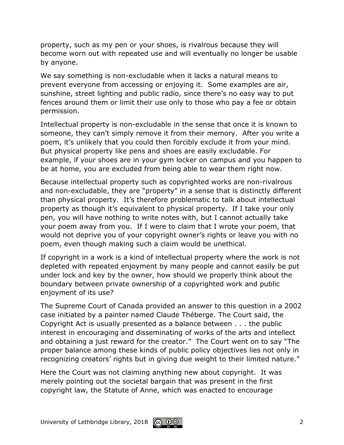property, such as my pen or your shoes, is rivalrous because they will become worn out with repeated use and will eventually no longer be usable by anyone.

We say something is non-excludable when it lacks a natural means to prevent everyone from accessing or enjoying it. Some examples are air, sunshine, street lighting and public radio, since there's no easy way to put fences around them or limit their use only to those who pay a fee or obtain permission.

Intellectual property is non-excludable in the sense that once it is known to someone, they can't simply remove it from their memory. After you write a poem, it's unlikely that you could then forcibly exclude it from your mind. But physical property like pens and shoes are easily excludable. For example, if your shoes are in your gym locker on campus and you happen to be at home, you are excluded from being able to wear them right now.

Because intellectual property such as copyrighted works are non-rivalrous and non-excludable, they are "property" in a sense that is distinctly different than physical property. It's therefore problematic to talk about intellectual property as though it's equivalent to physical property. If I take your only pen, you will have nothing to write notes with, but I cannot actually take your poem away from you. If I were to claim that I wrote your poem, that would not deprive you of your copyright owner's rights or leave you with no poem, even though making such a claim would be unethical.

If copyright in a work is a kind of intellectual property where the work is not depleted with repeated enjoyment by many people and cannot easily be put under lock and key by the owner, how should we properly think about the boundary between private ownership of a copyrighted work and public enjoyment of its use?

The Supreme Court of Canada provided an answer to this question in a 2002 case initiated by a painter named Claude Théberge. The Court said, the Copyright Act is usually presented as a balance between . . . the public interest in encouraging and disseminating of works of the arts and intellect and obtaining a just reward for the creator." The Court went on to say "The proper balance among these kinds of public policy objectives lies not only in recognizing creators' rights but in giving due weight to their limited nature."

Here the Court was not claiming anything new about copyright. It was merely pointing out the societal bargain that was present in the first copyright law, the Statute of Anne, which was enacted to encourage